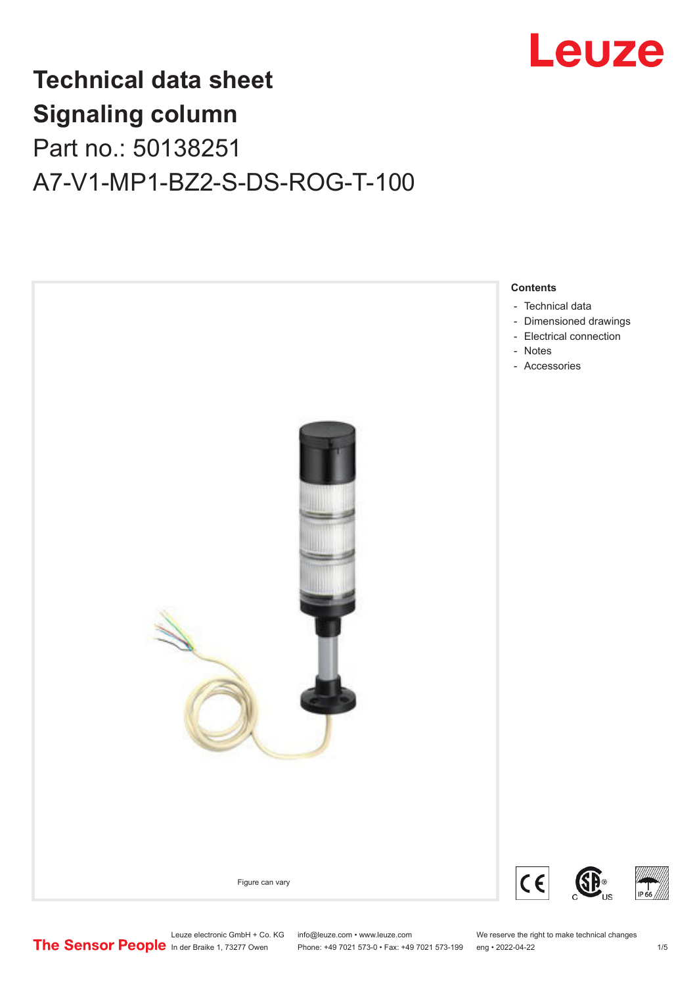

# **Technical data sheet Signaling column** Part no.: 50138251 A7-V1-MP1-BZ2-S-DS-ROG-T-100



Leuze electronic GmbH + Co. KG info@leuze.com • www.leuze.com We reserve the right to make technical changes<br>
The Sensor People in der Braike 1, 73277 Owen Phone: +49 7021 573-0 • Fax: +49 7021 573-199 eng • 2022-04-22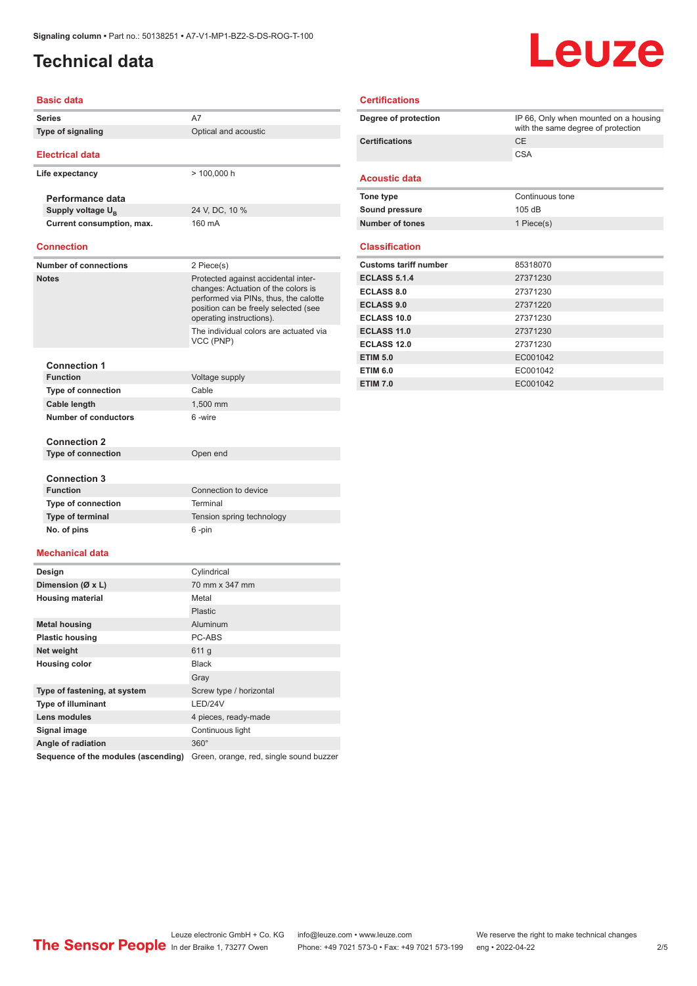# <span id="page-1-0"></span>**Technical data**

# Leuze

### **Basic data Series** A7 **Type of signaling CONSCRUPE OPERATION** Optical and acoustic **Electrical data Life expectancy** > 100,000 h **Performance data Supply voltage U<sub>B</sub>** 24 V, DC, 10 % **Current consumption, max.** 160 mA **Connection Number of connections** 2 Piece(s) **Notes Protected against accidental inter**changes: Actuation of the colors is performed via PINs, thus, the calotte position can be freely selected (see operating instructions). The individual colors are actuated via VCC (PNP) **Connection 1 Voltage supply Type of connection** Cable **Cable length** 1,500 mm **Number of conductors** 6 -wire **Connection 2 Type of connection** Open end **Connection 3 Connection** to device

| .                          | <b>OUTHOUGH to GOVIGO</b> |
|----------------------------|---------------------------|
| <b>Type of connection</b>  | Terminal                  |
| <b>Type of terminal</b>    | Tension spring technology |
| No. of pins                | 6 -pin                    |
| المتقاد المستقصية والمستقط |                           |

### **Mechanical data**

| Design                              | Cylindrical                             |
|-------------------------------------|-----------------------------------------|
| Dimension (Ø x L)                   | 70 mm x 347 mm                          |
| <b>Housing material</b>             | Metal                                   |
|                                     | Plastic                                 |
| <b>Metal housing</b>                | Aluminum                                |
| <b>Plastic housing</b>              | PC-ABS                                  |
| Net weight                          | 611 g                                   |
| <b>Housing color</b>                | <b>Black</b>                            |
|                                     | Gray                                    |
| Type of fastening, at system        | Screw type / horizontal                 |
| <b>Type of illuminant</b>           | LED/24V                                 |
| Lens modules                        | 4 pieces, ready-made                    |
| Signal image                        | Continuous light                        |
| Angle of radiation                  | $360^\circ$                             |
| Sequence of the modules (ascending) | Green, orange, red, single sound buzzer |

| <b>Certifications</b>        |                                                                             |  |
|------------------------------|-----------------------------------------------------------------------------|--|
| Degree of protection         | IP 66, Only when mounted on a housing<br>with the same degree of protection |  |
| <b>Certifications</b>        | CE                                                                          |  |
|                              | <b>CSA</b>                                                                  |  |
| <b>Acoustic data</b>         |                                                                             |  |
| Tone type                    | Continuous tone                                                             |  |
| Sound pressure               | 105dB                                                                       |  |
| Number of tones              | 1 Piece(s)                                                                  |  |
| <b>Classification</b>        |                                                                             |  |
| <b>Customs tariff number</b> | 85318070                                                                    |  |
| <b>ECLASS 5.1.4</b>          | 27371230                                                                    |  |
| <b>ECLASS 8.0</b>            | 27371230                                                                    |  |
| <b>ECLASS 9.0</b>            | 27371220                                                                    |  |
| ECLASS 10.0                  | 27371230                                                                    |  |
| <b>ECLASS 11.0</b>           | 27371230                                                                    |  |
| <b>ECLASS 12.0</b>           | 27371230                                                                    |  |
| <b>ETIM 5.0</b>              | EC001042                                                                    |  |
| <b>ETIM 6.0</b>              | EC001042                                                                    |  |
| <b>ETIM 7.0</b>              | EC001042                                                                    |  |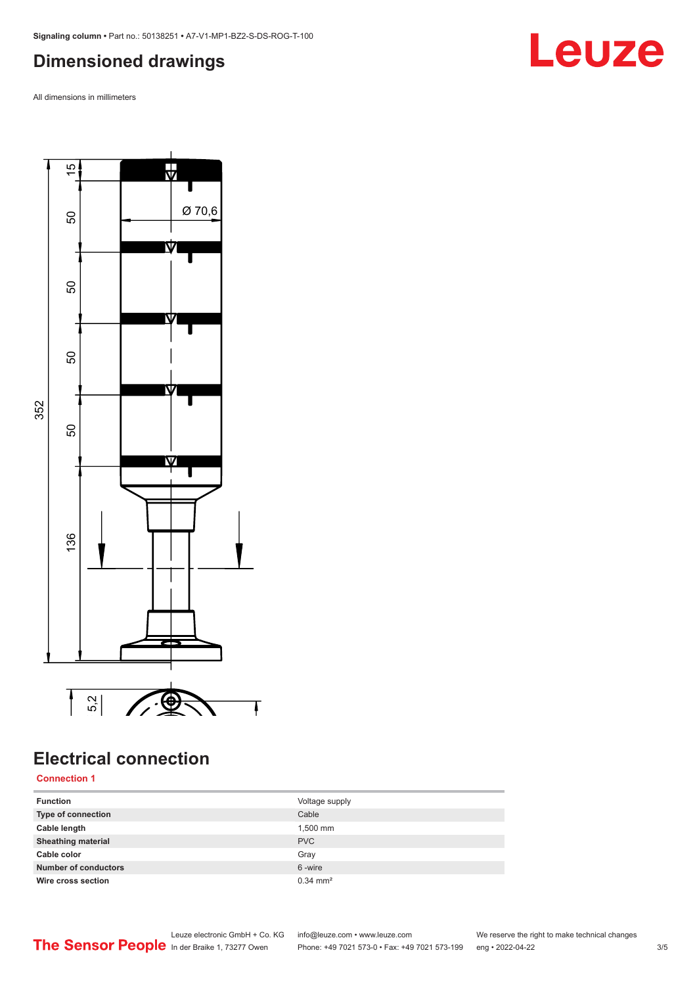# <span id="page-2-0"></span>**Dimensioned drawings**

All dimensions in millimeters



# **Electrical connection**  $\overline{\phantom{a}}$

### **Connection 1**

| <b>Function</b>             | Voltage supply        |
|-----------------------------|-----------------------|
| Type of connection          | Cable                 |
| Cable length                | 1,500 mm              |
| <b>Sheathing material</b>   | <b>PVC</b>            |
| Cable color                 | Gray                  |
| <b>Number of conductors</b> | 6-wire                |
| Wire cross section          | $0.34 \, \text{mm}^2$ |

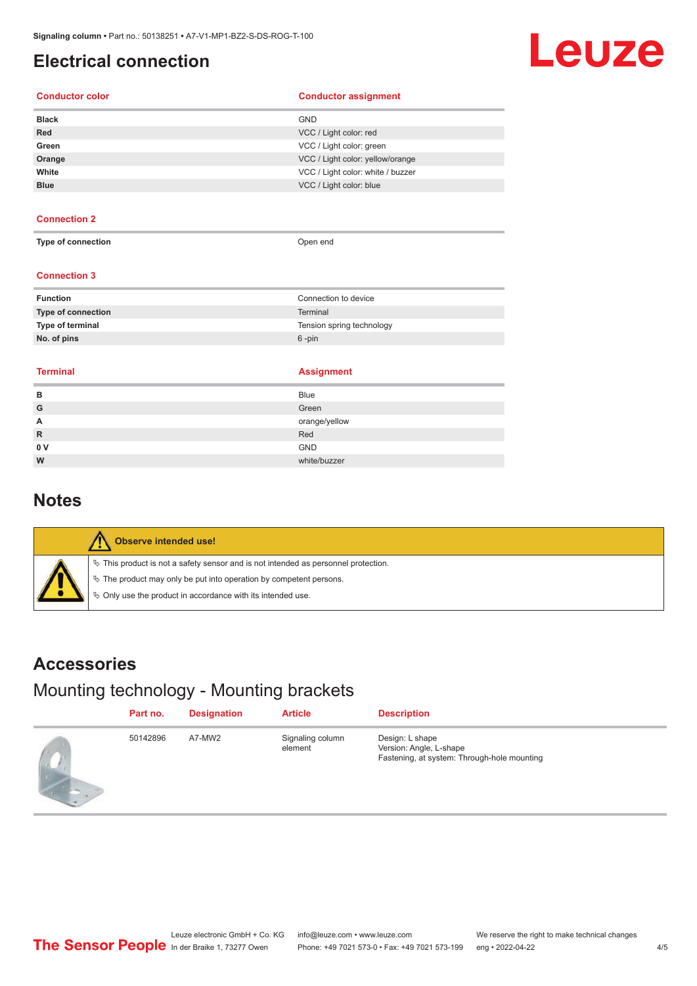## <span id="page-3-0"></span>**Electrical connection**

# Leuze

### **Conductor color Conductor assignment**

| <b>GND</b>                        |
|-----------------------------------|
| VCC / Light color: red            |
| VCC / Light color: green          |
| VCC / Light color: yellow/orange  |
| VCC / Light color: white / buzzer |
| VCC / Light color: blue           |
|                                   |

### **Connection 2**

**Type of connection Open end** 

### **Connection 3**

| <b>Function</b>           | Connection to device      |
|---------------------------|---------------------------|
| <b>Type of connection</b> | Terminal                  |
| Type of terminal          | Tension spring technology |
| No. of pins               | 6 -pin                    |
|                           |                           |

### **Terminal Assignment**

| в            | <b>Blue</b>   |
|--------------|---------------|
| G            | Green         |
| A            | orange/yellow |
| $\mathsf{R}$ | Red           |
| 0V           | <b>GND</b>    |
| W            | white/buzzer  |

### **Notes**

| Observe intended use!                                                                                                                                                                                                         |
|-------------------------------------------------------------------------------------------------------------------------------------------------------------------------------------------------------------------------------|
| $\%$ This product is not a safety sensor and is not intended as personnel protection.<br>$\&$ The product may only be put into operation by competent persons.<br>♦ Only use the product in accordance with its intended use. |

### **Accessories**

# Mounting technology - Mounting brackets

|                | Part no. | <b>Designation</b> | <b>Article</b>              | <b>Description</b>                                                                        |
|----------------|----------|--------------------|-----------------------------|-------------------------------------------------------------------------------------------|
| <b>Limited</b> | 50142896 | A7-MW2             | Signaling column<br>element | Design: L shape<br>Version: Angle, L-shape<br>Fastening, at system: Through-hole mounting |